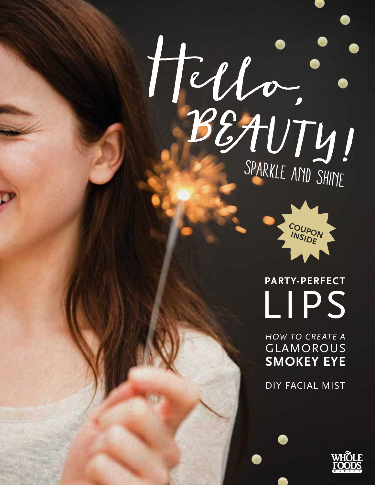



 **PARTY-PERFECT**  LIPS

GLAMOROUS **SMOKEY EYE** *HOW TO CREATE A* 

DIY FACIAL MIST

41.4400

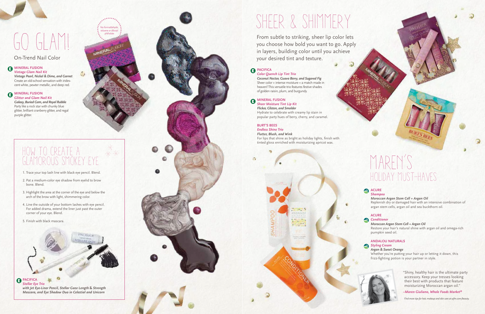#### *Color Quench Lip Tint Trio*

*Coconut Nectar, Guava Berry, and Sugared Fig* Sheer color + intense moisture = a match made in heaven! This versatile trio features festive shades of golden raisin, plum, and burgundy.

#### **O MINERAL FUSION**

*Sheer Moisture Tint Lip Kit Flicker, Glisten, and Smolder* Hydrate to celebrate with creamy lip stain in popular party hues of berry, cherry, and caramel.

#### **AMINERAL FUSION** *Vintage Glam Nail Kit*

#### **BURT'S BEES**

#### **AMINERAL FUSION** *Glitter and Glam Nail Kit*

*Endless Shine Trio Flutter, Blush, and Wink* For lips that shine as bright as holiday lights, finish with tinted gloss enriched with moisturizing apricot wax.



From subtle to striking, sheer lip color lets you choose how bold you want to go. Apply in layers, building color until you achieve your desired tint and texture.

#### **PACIFICA**

*Vintage Pearl, Nickel & Dime, and Garnet* Create an old-school sensation with irides cent white, pewter metallic, and deep red.

**PACIFICA** *Stellar Eye Trio with Jet Eye-Liner Pencil, Stellar Gaze Length*  **&** *Strength Mascara, and Eye Shadow Duo in Celestial and Unicorn*

## SHEER & SHIMMERY

*Galaxy, Buried Gem, and Royal Rubble* Party like a rock star with chunky blue glitter, brilliant cranberry glitter, and regal purple glitter.

On-Trend Nail Color

# GO GLAM!

No formaldehyde, toluene or dibutyl phthalate

٨

## How to Create a Glamorous Smokey Eye

1. Trace your top lash line with black eye pencil. Blend.

- 2. Pat a medium-color eye shadow from eyelid to brow bone. Blend.
- 3. Highlight the area at the corner of the eye and below the arch of the brow with light, shimmering color.
- 4. Line the outside of your bottom lashes with eye pencil. For added drama, extend the liner just past the outer corner of your eye. Blend.
- 5. Finish with black mascara.



## Maren's HOLIDAY MUSt-HAVES

#### ACURE

*Shampoo* 

*Moroccan Argan Stem Cell + Argan Oil* Replenish dry or damaged hair with an intensive combination of argan stem cells, argan oil and sea buckthorn oil.

#### **ACURE**

*Conditioner* 

#### *Moroccan Argan Stem Cell + Argan Oil*

Restore your hair's natural shine with argan oil and omega-rich pumpkin seed oil.

#### **ANDALOU NATURALS** *Styling Cream*

#### *Argan & Sweet Orange*

Whether you're putting your hair up or letting it down, this frizz-fighting potion is your partner in style.



"Shiny, healthy hair is the ultimate party accessory. Keep your tresses looking their best with products that feature moisturizing Moroccan argan oil."

*–Maren Giuliano, Whole Foods Market ®*

*Find more tips for hair, makeup and skin care at wfm.com/beauty.*